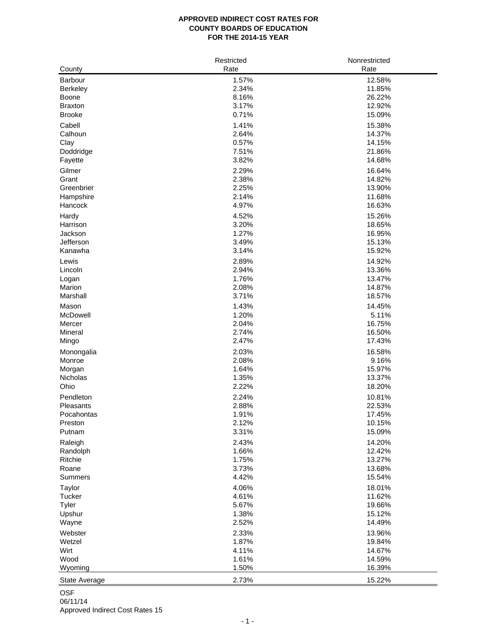#### **APPROVED INDIRECT COST RATES FOR COUNTY BOARDS OF EDUCATION FOR THE 2014-15 YEAR**

|                 | Restricted | Nonrestricted |
|-----------------|------------|---------------|
| County          | Rate       | Rate          |
| Barbour         | 1.57%      | 12.58%        |
| Berkeley        | 2.34%      | 11.85%        |
| Boone           | 8.16%      | 26.22%        |
| <b>Braxton</b>  | 3.17%      | 12.92%        |
| <b>Brooke</b>   | 0.71%      | 15.09%        |
| Cabell          | 1.41%      | 15.38%        |
| Calhoun         | 2.64%      | 14.37%        |
| Clay            | 0.57%      | 14.15%        |
| Doddridge       | 7.51%      | 21.86%        |
| Fayette         | 3.82%      | 14.68%        |
|                 |            |               |
| Gilmer          | 2.29%      | 16.64%        |
| Grant           | 2.38%      | 14.82%        |
| Greenbrier      | 2.25%      | 13.90%        |
| Hampshire       | 2.14%      | 11.68%        |
| Hancock         | 4.97%      | 16.63%        |
| Hardy           | 4.52%      | 15.26%        |
| Harrison        | 3.20%      | 18.65%        |
| Jackson         | 1.27%      | 16.95%        |
| Jefferson       | 3.49%      | 15.13%        |
| Kanawha         | 3.14%      | 15.92%        |
| Lewis           | 2.89%      | 14.92%        |
| Lincoln         | 2.94%      | 13.36%        |
|                 | 1.76%      | 13.47%        |
| Logan<br>Marion |            |               |
|                 | 2.08%      | 14.87%        |
| Marshall        | 3.71%      | 18.57%        |
| Mason           | 1.43%      | 14.45%        |
| McDowell        | 1.20%      | 5.11%         |
| Mercer          | 2.04%      | 16.75%        |
| Mineral         | 2.74%      | 16.50%        |
| Mingo           | 2.47%      | 17.43%        |
| Monongalia      | 2.03%      | 16.58%        |
| Monroe          | 2.08%      | 9.16%         |
| Morgan          | 1.64%      | 15.97%        |
| Nicholas        | 1.35%      | 13.37%        |
| Ohio            | 2.22%      | 18.20%        |
| Pendleton       | 2.24%      | 10.81%        |
| Pleasants       | 2.88%      | 22.53%        |
| Pocahontas      | 1.91%      | 17.45%        |
| Preston         | 2.12%      | 10.15%        |
| Putnam          | 3.31%      | 15.09%        |
|                 |            |               |
| Raleigh         | 2.43%      | 14.20%        |
| Randolph        | 1.66%      | 12.42%        |
| Ritchie         | 1.75%      | 13.27%        |
| Roane           | 3.73%      | 13.68%        |
| <b>Summers</b>  | 4.42%      | 15.54%        |
| Taylor          | 4.06%      | 18.01%        |
| Tucker          | 4.61%      | 11.62%        |
| Tyler           | 5.67%      | 19.66%        |
| Upshur          | 1.38%      | 15.12%        |
| Wayne           | 2.52%      | 14.49%        |
| Webster         | 2.33%      | 13.96%        |
| Wetzel          | 1.87%      | 19.84%        |
| Wirt            | 4.11%      | 14.67%        |
| Wood            | 1.61%      |               |
|                 |            | 14.59%        |
| Wyoming         | 1.50%      | 16.39%        |
| State Average   | 2.73%      | 15.22%        |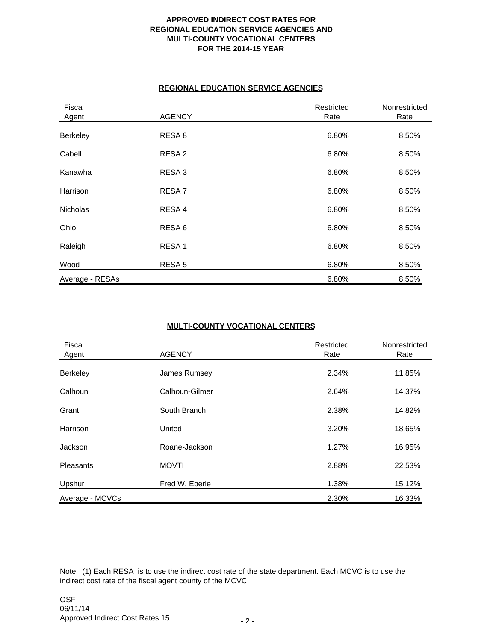## **APPROVED INDIRECT COST RATES FOR REGIONAL EDUCATION SERVICE AGENCIES AND MULTI-COUNTY VOCATIONAL CENTERS FOR THE 2014-15 YEAR**

#### **REGIONAL EDUCATION SERVICE AGENCIES**

| Fiscal<br>Agent | <b>AGENCY</b>     | Restricted<br>Rate | Nonrestricted<br>Rate |
|-----------------|-------------------|--------------------|-----------------------|
| Berkeley        | RESA 8            | 6.80%              | 8.50%                 |
| Cabell          | RESA <sub>2</sub> | 6.80%              | 8.50%                 |
| Kanawha         | RESA <sub>3</sub> | 6.80%              | 8.50%                 |
| Harrison        | RESA <sub>7</sub> | 6.80%              | 8.50%                 |
| <b>Nicholas</b> | RESA 4            | 6.80%              | 8.50%                 |
| Ohio            | RESA <sub>6</sub> | 6.80%              | 8.50%                 |
| Raleigh         | RESA <sub>1</sub> | 6.80%              | 8.50%                 |
| Wood            | RESA <sub>5</sub> | 6.80%              | 8.50%                 |
| Average - RESAs |                   | 6.80%              | 8.50%                 |

# **MULTI-COUNTY VOCATIONAL CENTERS**

| Fiscal<br>Agent | <b>AGENCY</b>  | Restricted<br>Rate | Nonrestricted<br>Rate |  |
|-----------------|----------------|--------------------|-----------------------|--|
| Berkeley        | James Rumsey   | 2.34%              | 11.85%                |  |
| Calhoun         | Calhoun-Gilmer | 2.64%              | 14.37%                |  |
| Grant           | South Branch   | 2.38%              | 14.82%                |  |
| Harrison        | United         | 3.20%              | 18.65%                |  |
| Jackson         | Roane-Jackson  | 1.27%              | 16.95%                |  |
| Pleasants       | <b>MOVTI</b>   | 2.88%              | 22.53%                |  |
| Upshur          | Fred W. Eberle | 1.38%              | 15.12%                |  |
| Average - MCVCs |                | 2.30%              | 16.33%                |  |

Note: (1) Each RESA is to use the indirect cost rate of the state department. Each MCVC is to use the indirect cost rate of the fiscal agent county of the MCVC.